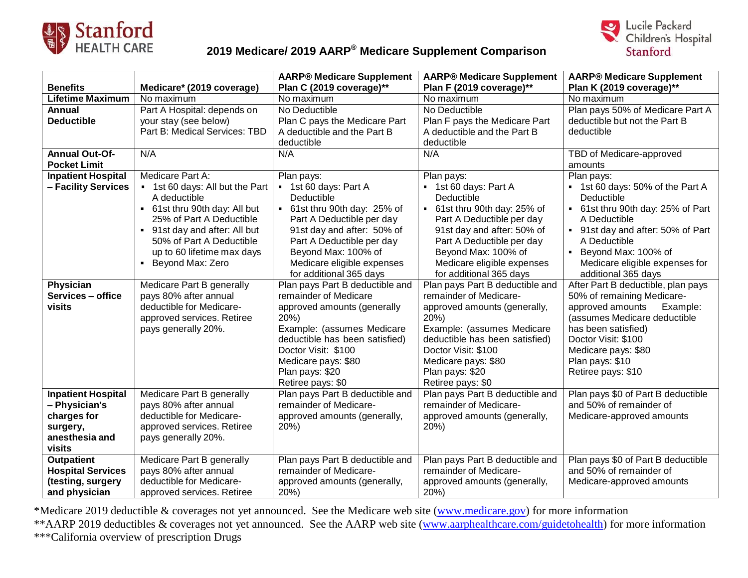

## **2019 Medicare/ 2019 AARP ® Medicare Supplement Comparison**



|                           |                                 | <b>AARP® Medicare Supplement</b> | <b>AARP® Medicare Supplement</b> | <b>AARP® Medicare Supplement</b>            |
|---------------------------|---------------------------------|----------------------------------|----------------------------------|---------------------------------------------|
| <b>Benefits</b>           | Medicare* (2019 coverage)       | Plan C (2019 coverage)**         | Plan F (2019 coverage)**         | Plan K (2019 coverage)**                    |
| <b>Lifetime Maximum</b>   | No maximum                      | No maximum                       | No maximum                       | No maximum                                  |
| Annual                    | Part A Hospital: depends on     | No Deductible                    | No Deductible                    | Plan pays 50% of Medicare Part A            |
| <b>Deductible</b>         | your stay (see below)           | Plan C pays the Medicare Part    | Plan F pays the Medicare Part    | deductible but not the Part B               |
|                           | Part B: Medical Services: TBD   | A deductible and the Part B      | A deductible and the Part B      | deductible                                  |
|                           |                                 | deductible                       | deductible                       |                                             |
| <b>Annual Out-Of-</b>     | N/A                             | N/A                              | N/A                              | TBD of Medicare-approved                    |
| <b>Pocket Limit</b>       |                                 |                                  |                                  | amounts                                     |
| <b>Inpatient Hospital</b> | Medicare Part A:                | Plan pays:                       | Plan pays:                       | Plan pays:                                  |
| - Facility Services       | • 1st 60 days: All but the Part | 1st 60 days: Part A              | • 1st 60 days: Part A            | <sup>1</sup> 1st 60 days: 50% of the Part A |
|                           | A deductible                    | Deductible                       | Deductible                       | Deductible                                  |
|                           | • 61st thru 90th day: All but   | • 61st thru 90th day: 25% of     | • 61st thru 90th day: 25% of     | • 61st thru 90th day: 25% of Part           |
|                           | 25% of Part A Deductible        | Part A Deductible per day        | Part A Deductible per day        | A Deductible                                |
|                           | • 91st day and after: All but   | 91st day and after: 50% of       | 91st day and after: 50% of       | • 91st day and after: 50% of Part           |
|                           | 50% of Part A Deductible        | Part A Deductible per day        | Part A Deductible per day        | A Deductible                                |
|                           | up to 60 lifetime max days      | Beyond Max: 100% of              | Beyond Max: 100% of              | • Beyond Max: 100% of                       |
|                           | • Beyond Max: Zero              | Medicare eligible expenses       | Medicare eligible expenses       | Medicare eligible expenses for              |
|                           |                                 | for additional 365 days          | for additional 365 days          | additional 365 days                         |
| Physician                 | Medicare Part B generally       | Plan pays Part B deductible and  | Plan pays Part B deductible and  | After Part B deductible, plan pays          |
| Services - office         | pays 80% after annual           | remainder of Medicare            | remainder of Medicare-           | 50% of remaining Medicare-                  |
| visits                    | deductible for Medicare-        | approved amounts (generally      | approved amounts (generally,     | approved amounts<br>Example:                |
|                           | approved services. Retiree      | 20%)                             | 20%                              | (assumes Medicare deductible                |
|                           | pays generally 20%.             | Example: (assumes Medicare       | Example: (assumes Medicare       | has been satisfied)                         |
|                           |                                 | deductible has been satisfied)   | deductible has been satisfied)   | Doctor Visit: \$100                         |
|                           |                                 | Doctor Visit: \$100              | Doctor Visit: \$100              | Medicare pays: \$80                         |
|                           |                                 | Medicare pays: \$80              | Medicare pays: \$80              | Plan pays: \$10                             |
|                           |                                 | Plan pays: \$20                  | Plan pays: \$20                  | Retiree pays: \$10                          |
|                           |                                 | Retiree pays: \$0                | Retiree pays: \$0                |                                             |
| <b>Inpatient Hospital</b> | Medicare Part B generally       | Plan pays Part B deductible and  | Plan pays Part B deductible and  | Plan pays \$0 of Part B deductible          |
| - Physician's             | pays 80% after annual           | remainder of Medicare-           | remainder of Medicare-           | and 50% of remainder of                     |
| charges for               | deductible for Medicare-        | approved amounts (generally,     | approved amounts (generally,     | Medicare-approved amounts                   |
| surgery,                  | approved services. Retiree      | 20%)                             | 20%                              |                                             |
| anesthesia and            | pays generally 20%.             |                                  |                                  |                                             |
| visits                    |                                 |                                  |                                  |                                             |
| <b>Outpatient</b>         | Medicare Part B generally       | Plan pays Part B deductible and  | Plan pays Part B deductible and  | Plan pays \$0 of Part B deductible          |
| <b>Hospital Services</b>  | pays 80% after annual           | remainder of Medicare-           | remainder of Medicare-           | and 50% of remainder of                     |
| (testing, surgery         | deductible for Medicare-        | approved amounts (generally,     | approved amounts (generally,     | Medicare-approved amounts                   |
| and physician             | approved services. Retiree      | 20%)                             | 20%)                             |                                             |

\*Medicare 2019 deductible & coverages not yet announced. See the Medicare web site [\(www.medicare.gov\)](http://www.medicare.gov/) for more information

\*\*AARP 2019 deductibles & coverages not yet announced. See the AARP web site [\(www.aarphealthcare.com/guidetohealth\)](http://www.aarphealthcare.com/guidetohealth) for more information \*\*\*California overview of prescription Drugs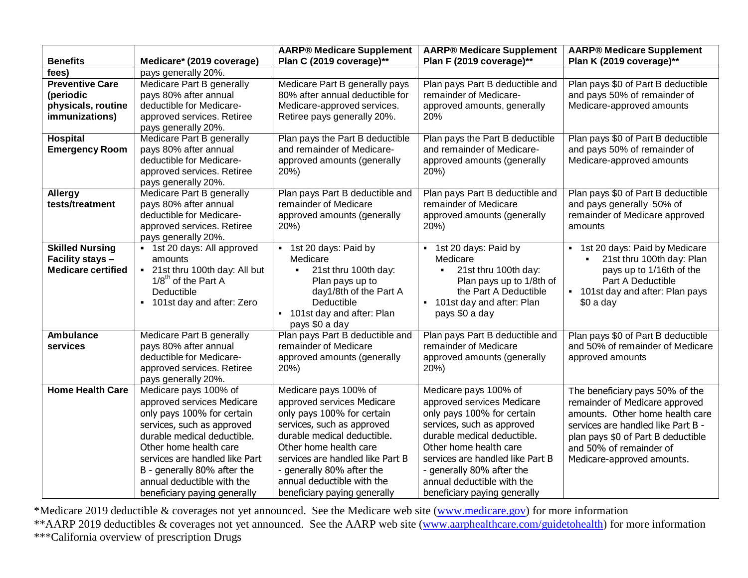|                           |                                                  | <b>AARP® Medicare Supplement</b>              | <b>AARP® Medicare Supplement</b> | <b>AARP® Medicare Supplement</b>   |
|---------------------------|--------------------------------------------------|-----------------------------------------------|----------------------------------|------------------------------------|
| <b>Benefits</b>           | Medicare* (2019 coverage)                        | Plan C (2019 coverage)**                      | Plan F (2019 coverage)**         | Plan K (2019 coverage)**           |
| fees)                     | pays generally 20%.                              |                                               |                                  |                                    |
| <b>Preventive Care</b>    | Medicare Part B generally                        | Medicare Part B generally pays                | Plan pays Part B deductible and  | Plan pays \$0 of Part B deductible |
| (periodic                 | pays 80% after annual                            | 80% after annual deductible for               | remainder of Medicare-           | and pays 50% of remainder of       |
| physicals, routine        | deductible for Medicare-                         | Medicare-approved services.                   | approved amounts, generally      | Medicare-approved amounts          |
| immunizations)            | approved services. Retiree                       | Retiree pays generally 20%.                   | 20%                              |                                    |
| <b>Hospital</b>           | pays generally 20%.<br>Medicare Part B generally | Plan pays the Part B deductible               | Plan pays the Part B deductible  | Plan pays \$0 of Part B deductible |
| <b>Emergency Room</b>     | pays 80% after annual                            | and remainder of Medicare-                    | and remainder of Medicare-       | and pays 50% of remainder of       |
|                           | deductible for Medicare-                         | approved amounts (generally                   | approved amounts (generally      | Medicare-approved amounts          |
|                           | approved services. Retiree                       | 20%                                           | 20%)                             |                                    |
|                           | pays generally 20%.                              |                                               |                                  |                                    |
| Allergy                   | Medicare Part B generally                        | Plan pays Part B deductible and               | Plan pays Part B deductible and  | Plan pays \$0 of Part B deductible |
| tests/treatment           | pays 80% after annual                            | remainder of Medicare                         | remainder of Medicare            | and pays generally 50% of          |
|                           | deductible for Medicare-                         | approved amounts (generally                   | approved amounts (generally      | remainder of Medicare approved     |
|                           | approved services. Retiree                       | 20%                                           | 20%)                             | amounts                            |
|                           | pays generally 20%.                              |                                               |                                  |                                    |
| <b>Skilled Nursing</b>    | • 1st 20 days: All approved                      | 1st 20 days: Paid by<br>$\blacksquare$        | • 1st 20 days: Paid by           | • 1st 20 days: Paid by Medicare    |
| Facility stays -          | amounts                                          | Medicare                                      | Medicare                         | 21st thru 100th day: Plan          |
| <b>Medicare certified</b> | • 21st thru 100th day: All but                   | 21st thru 100th day:<br>$\blacksquare$        | 21st thru 100th day:             | pays up to 1/16th of the           |
|                           | $1/8^{th}$ of the Part A                         | Plan pays up to                               | Plan pays up to 1/8th of         | Part A Deductible                  |
|                           | Deductible                                       | day1/8th of the Part A                        | the Part A Deductible            | • 101st day and after: Plan pays   |
|                           | • 101st day and after: Zero                      | Deductible                                    | • 101st day and after: Plan      | $$0a$ day                          |
|                           |                                                  | • 101st day and after: Plan<br>pays \$0 a day | pays \$0 a day                   |                                    |
| <b>Ambulance</b>          | Medicare Part B generally                        | Plan pays Part B deductible and               | Plan pays Part B deductible and  | Plan pays \$0 of Part B deductible |
| services                  | pays 80% after annual                            | remainder of Medicare                         | remainder of Medicare            | and 50% of remainder of Medicare   |
|                           | deductible for Medicare-                         | approved amounts (generally                   | approved amounts (generally      | approved amounts                   |
|                           | approved services. Retiree                       | 20%)                                          | 20%)                             |                                    |
|                           | pays generally 20%.                              |                                               |                                  |                                    |
| <b>Home Health Care</b>   | Medicare pays 100% of                            | Medicare pays 100% of                         | Medicare pays 100% of            | The beneficiary pays 50% of the    |
|                           | approved services Medicare                       | approved services Medicare                    | approved services Medicare       | remainder of Medicare approved     |
|                           | only pays 100% for certain                       | only pays 100% for certain                    | only pays 100% for certain       | amounts. Other home health care    |
|                           | services, such as approved                       | services, such as approved                    | services, such as approved       | services are handled like Part B - |
|                           | durable medical deductible.                      | durable medical deductible.                   | durable medical deductible.      | plan pays \$0 of Part B deductible |
|                           | Other home health care                           | Other home health care                        | Other home health care           | and 50% of remainder of            |
|                           | services are handled like Part                   | services are handled like Part B              | services are handled like Part B | Medicare-approved amounts.         |
|                           | B - generally 80% after the                      | - generally 80% after the                     | - generally 80% after the        |                                    |
|                           | annual deductible with the                       | annual deductible with the                    | annual deductible with the       |                                    |
|                           | beneficiary paying generally                     | beneficiary paying generally                  | beneficiary paying generally     |                                    |

\*Medicare 2019 deductible & coverages not yet announced. See the Medicare web site [\(www.medicare.gov\)](http://www.medicare.gov/) for more information \*\* AARP 2019 deductibles & coverages not yet announced. See the AARP web site [\(www.aarphealthcare.com/guidetohealth\)](http://www.aarphealthcare.com/guidetohealth) for more information \*\*\*California overview of prescription Drugs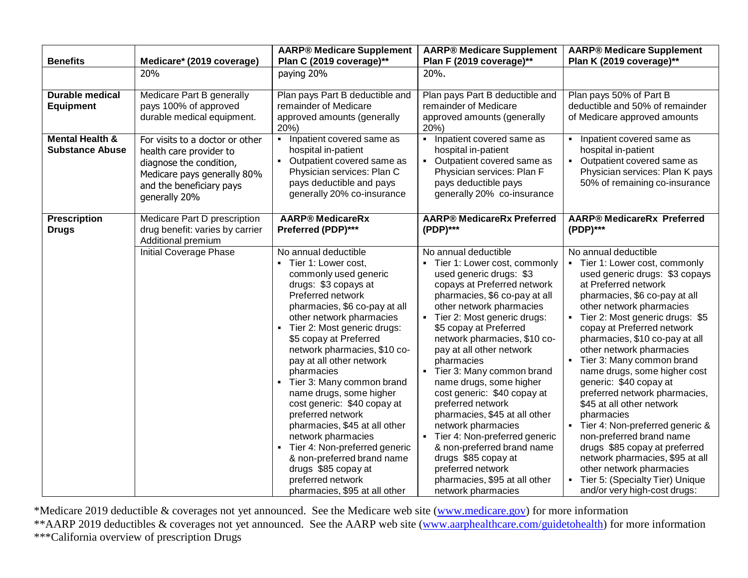| <b>Benefits</b>                                      | Medicare* (2019 coverage)                                                                                                                                         | <b>AARP® Medicare Supplement</b><br>Plan C (2019 coverage)**                                                                                                                                                                                                                                                                                                                                                                                                                                                                                                                                                                                       | <b>AARP® Medicare Supplement</b><br>Plan F (2019 coverage)**                                                                                                                                                                                                                                                                                                                                                                                                                                                                                                                                                                                                | <b>AARP® Medicare Supplement</b><br>Plan K (2019 coverage)**                                                                                                                                                                                                                                                                                                                                                                                                                                                                                                                                                                                                                                                          |
|------------------------------------------------------|-------------------------------------------------------------------------------------------------------------------------------------------------------------------|----------------------------------------------------------------------------------------------------------------------------------------------------------------------------------------------------------------------------------------------------------------------------------------------------------------------------------------------------------------------------------------------------------------------------------------------------------------------------------------------------------------------------------------------------------------------------------------------------------------------------------------------------|-------------------------------------------------------------------------------------------------------------------------------------------------------------------------------------------------------------------------------------------------------------------------------------------------------------------------------------------------------------------------------------------------------------------------------------------------------------------------------------------------------------------------------------------------------------------------------------------------------------------------------------------------------------|-----------------------------------------------------------------------------------------------------------------------------------------------------------------------------------------------------------------------------------------------------------------------------------------------------------------------------------------------------------------------------------------------------------------------------------------------------------------------------------------------------------------------------------------------------------------------------------------------------------------------------------------------------------------------------------------------------------------------|
|                                                      | 20%                                                                                                                                                               | paying 20%                                                                                                                                                                                                                                                                                                                                                                                                                                                                                                                                                                                                                                         | 20%.                                                                                                                                                                                                                                                                                                                                                                                                                                                                                                                                                                                                                                                        |                                                                                                                                                                                                                                                                                                                                                                                                                                                                                                                                                                                                                                                                                                                       |
| <b>Durable medical</b><br><b>Equipment</b>           | Medicare Part B generally<br>pays 100% of approved<br>durable medical equipment.                                                                                  | Plan pays Part B deductible and<br>remainder of Medicare<br>approved amounts (generally<br>20%                                                                                                                                                                                                                                                                                                                                                                                                                                                                                                                                                     | Plan pays Part B deductible and<br>remainder of Medicare<br>approved amounts (generally<br>20%                                                                                                                                                                                                                                                                                                                                                                                                                                                                                                                                                              | Plan pays 50% of Part B<br>deductible and 50% of remainder<br>of Medicare approved amounts                                                                                                                                                                                                                                                                                                                                                                                                                                                                                                                                                                                                                            |
| <b>Mental Health &amp;</b><br><b>Substance Abuse</b> | For visits to a doctor or other<br>health care provider to<br>diagnose the condition,<br>Medicare pays generally 80%<br>and the beneficiary pays<br>generally 20% | • Inpatient covered same as<br>hospital in-patient<br>• Outpatient covered same as<br>Physician services: Plan C<br>pays deductible and pays<br>generally 20% co-insurance                                                                                                                                                                                                                                                                                                                                                                                                                                                                         | • Inpatient covered same as<br>hospital in-patient<br>• Outpatient covered same as<br>Physician services: Plan F<br>pays deductible pays<br>generally 20% co-insurance                                                                                                                                                                                                                                                                                                                                                                                                                                                                                      | • Inpatient covered same as<br>hospital in-patient<br>• Outpatient covered same as<br>Physician services: Plan K pays<br>50% of remaining co-insurance                                                                                                                                                                                                                                                                                                                                                                                                                                                                                                                                                                |
| <b>Prescription</b><br><b>Drugs</b>                  | Medicare Part D prescription<br>drug benefit: varies by carrier<br>Additional premium                                                                             | <b>AARP®</b> MedicareRx<br>Preferred (PDP)***                                                                                                                                                                                                                                                                                                                                                                                                                                                                                                                                                                                                      | <b>AARP® MedicareRx Preferred</b><br>(PDP)***                                                                                                                                                                                                                                                                                                                                                                                                                                                                                                                                                                                                               | <b>AARP® MedicareRx Preferred</b><br>(PDP)***                                                                                                                                                                                                                                                                                                                                                                                                                                                                                                                                                                                                                                                                         |
|                                                      | Initial Coverage Phase                                                                                                                                            | No annual deductible<br>Tier 1: Lower cost,<br>commonly used generic<br>drugs: \$3 copays at<br>Preferred network<br>pharmacies, \$6 co-pay at all<br>other network pharmacies<br>Tier 2: Most generic drugs:<br>\$5 copay at Preferred<br>network pharmacies, \$10 co-<br>pay at all other network<br>pharmacies<br>Tier 3: Many common brand<br>$\blacksquare$<br>name drugs, some higher<br>cost generic: \$40 copay at<br>preferred network<br>pharmacies, \$45 at all other<br>network pharmacies<br>Tier 4: Non-preferred generic<br>& non-preferred brand name<br>drugs \$85 copay at<br>preferred network<br>pharmacies, \$95 at all other | No annual deductible<br>- Tier 1: Lower cost, commonly<br>used generic drugs: \$3<br>copays at Preferred network<br>pharmacies, \$6 co-pay at all<br>other network pharmacies<br>- Tier 2: Most generic drugs:<br>\$5 copay at Preferred<br>network pharmacies, \$10 co-<br>pay at all other network<br>pharmacies<br>• Tier 3: Many common brand<br>name drugs, some higher<br>cost generic: \$40 copay at<br>preferred network<br>pharmacies, \$45 at all other<br>network pharmacies<br>• Tier 4: Non-preferred generic<br>& non-preferred brand name<br>drugs \$85 copay at<br>preferred network<br>pharmacies, \$95 at all other<br>network pharmacies | No annual deductible<br>- Tier 1: Lower cost, commonly<br>used generic drugs: \$3 copays<br>at Preferred network<br>pharmacies, \$6 co-pay at all<br>other network pharmacies<br>Tier 2: Most generic drugs: \$5<br>copay at Preferred network<br>pharmacies, \$10 co-pay at all<br>other network pharmacies<br>• Tier 3: Many common brand<br>name drugs, some higher cost<br>generic: \$40 copay at<br>preferred network pharmacies,<br>\$45 at all other network<br>pharmacies<br>• Tier 4: Non-preferred generic &<br>non-preferred brand name<br>drugs \$85 copay at preferred<br>network pharmacies, \$95 at all<br>other network pharmacies<br>Tier 5: (Specialty Tier) Unique<br>and/or very high-cost drugs: |

\*Medicare 2019 deductible & coverages not yet announced. See the Medicare web site [\(www.medicare.gov\)](http://www.medicare.gov/) for more information \*\* AARP 2019 deductibles & coverages not yet announced. See the AARP web site [\(www.aarphealthcare.com/guidetohealth\)](http://www.aarphealthcare.com/guidetohealth) for more information

\*\*\*California overview of prescription Drugs